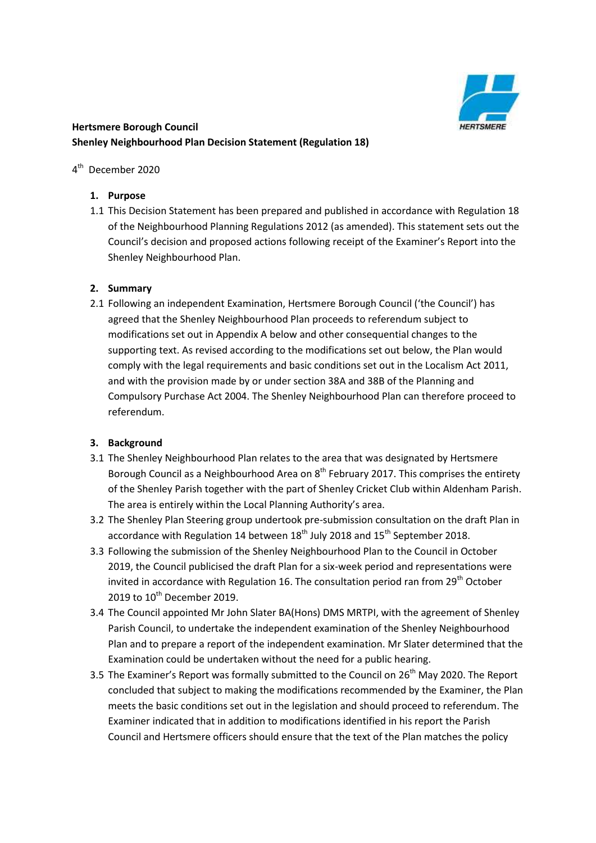

# **Hertsmere Borough Council** Hertsmere Borough Council<br>Shenley Neighbourhood Plan Decision Statement (Regulation 18)

## 4<sup>th</sup> December 2020

### **1. Purpose**

1.1 This Decision Statement has been prepared and published in accordance with Regulation 18 of the Neighbourhood Planning Regulations 2012 (as amended). This statement sets out the Council's decision and proposed actions following receipt of the Examiner's Report into the Shenley Neighbourhood Plan.

### **2. Summary**

 agreed that the Shenley Neighbourhood Plan proceeds to referendum subject to modifications set out in Appendix A below and other consequential changes to the Compulsory Purchase Act 2004. The Shenley Neighbourhood Plan can therefore proceed to 2.1 Following an independent Examination, Hertsmere Borough Council ('the Council') has supporting text. As revised according to the modifications set out below, the Plan would comply with the legal requirements and basic conditions set out in the Localism Act 2011, and with the provision made by or under section 38A and 38B of the Planning and referendum.

### **3. Background**

- Borough Council as a Neighbourhood Area on 8<sup>th</sup> February 2017. This comprises the entirety of the Shenley Parish together with the part of Shenley Cricket Club within Aldenham Parish. 3.1 The Shenley Neighbourhood Plan relates to the area that was designated by Hertsmere The area is entirely within the Local Planning Authority's area.
- 3.2 The Shenley Plan Steering group undertook pre-submission consultation on the draft Plan in accordance with Regulation 14 between  $18^{th}$  July 2018 and  $15^{th}$  September 2018.
- 3.3 Following the submission of the Shenley Neighbourhood Plan to the Council in October invited in accordance with Regulation 16. The consultation period ran from 29<sup>th</sup> October 2019 to  $10^{th}$  December 2019. 2019, the Council publicised the draft Plan for a six-week period and representations were
- 3.4 The Council appointed Mr John Slater BA(Hons) DMS MRTPI, with the agreement of Shenley Parish Council, to undertake the independent examination of the Shenley Neighbourhood Plan and to prepare a report of the independent examination. Mr Slater determined that the Examination could be undertaken without the need for a public hearing.
- 3.5 The Examiner's Report was formally submitted to the Council on 26<sup>th</sup> May 2020. The Report meets the basic conditions set out in the legislation and should proceed to referendum. The Examiner indicated that in addition to modifications identified in his report the Parish Council and Hertsmere officers should ensure that the text of the Plan matches the policy concluded that subject to making the modifications recommended by the Examiner, the Plan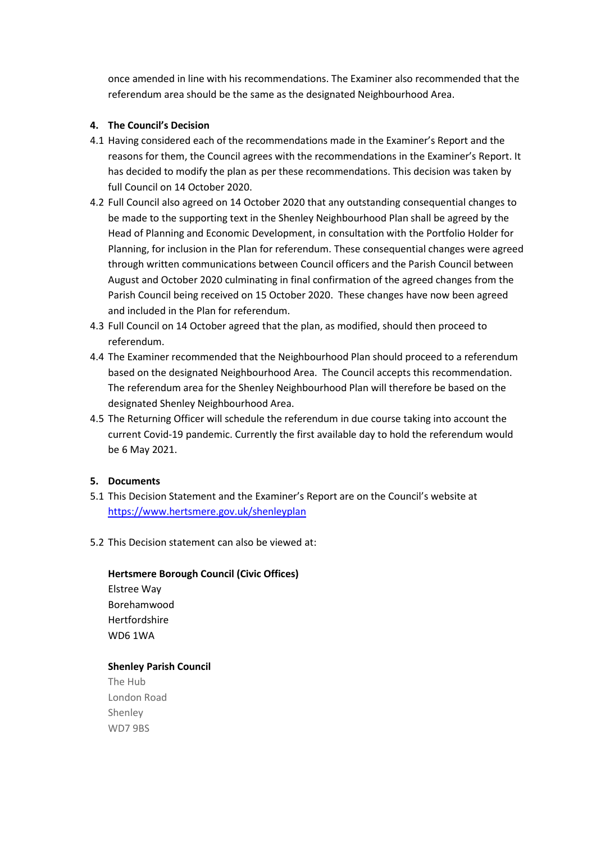referendum area should be the same as the designated Neighbourhood Area. once amended in line with his recommendations. The Examiner also recommended that the

### **4. The Council's Decision**

- has decided to modify the plan as per these recommendations. This decision was taken by full Council on 14 October 2020. 4.1 Having considered each of the recommendations made in the Examiner's Report and the reasons for them, the Council agrees with the recommendations in the Examiner's Report. It
- 4.2 Full Council also agreed on 14 October 2020 that any outstanding consequential changes to be made to the supporting text in the Shenley Neighbourhood Plan shall be agreed by the Head of Planning and Economic Development, in consultation with the Portfolio Holder for Planning, for inclusion in the Plan for referendum. These consequential changes were agreed through written communications between Council officers and the Parish Council between August and October 2020 culminating in final confirmation of the agreed changes from the Parish Council being received on 15 October 2020. These changes have now been agreed and included in the Plan for referendum.
- 4.3 Full Council on 14 October agreed that the plan, as modified, should then proceed to referendum.
- 4.4 The Examiner recommended that the Neighbourhood Plan should proceed to a referendum designated Shenley Neighbourhood Area. based on the designated Neighbourhood Area. The Council accepts this recommendation. The referendum area for the Shenley Neighbourhood Plan will therefore be based on the
- 4.5 The Returning Officer will schedule the referendum in due course taking into account the be 6 May 2021. current Covid-19 pandemic. Currently the first available day to hold the referendum would

#### **5. Documents**

- 5.1 This Decision Statement and the Examiner's Report are on the Council's website at <https://www.hertsmere.gov.uk/shenleyplan>
- 5.2 This Decision statement can also be viewed at:

### **Hertsmere Borough Council (Civic Offices)**

Elstree Way Borehamwood Hertfordshire WD6 1WA

### **Shenley Parish Council**

The Hub London Road Shenley WD7 9BS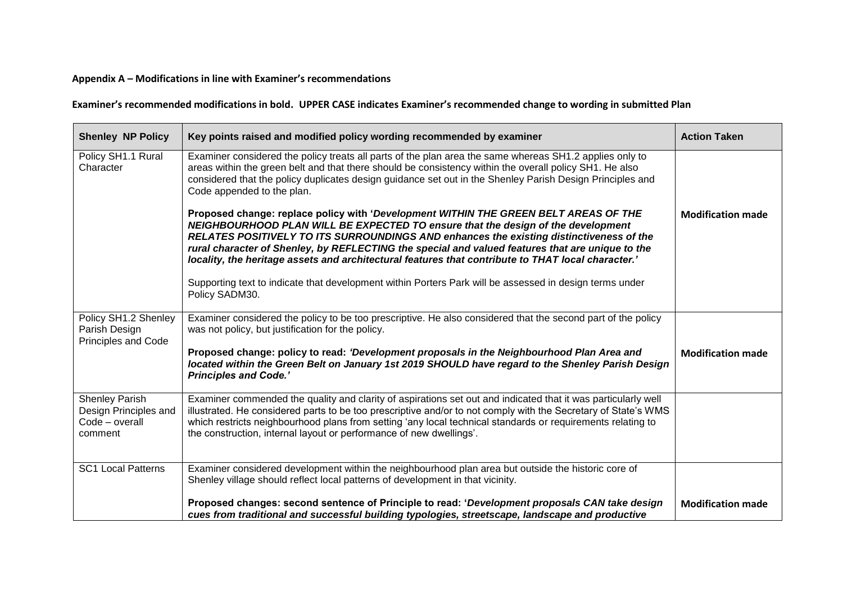### **Appendix A – Modifications in line with Examiner's recommendations**

 **Examiner's recommended modifications in bold. UPPER CASE indicates Examiner's recommended change to wording in submitted Plan** 

| <b>Shenley NP Policy</b>                                                    | Key points raised and modified policy wording recommended by examiner                                                                                                                                                                                                                                                                                                                                                                                                         | <b>Action Taken</b>      |
|-----------------------------------------------------------------------------|-------------------------------------------------------------------------------------------------------------------------------------------------------------------------------------------------------------------------------------------------------------------------------------------------------------------------------------------------------------------------------------------------------------------------------------------------------------------------------|--------------------------|
| Policy SH1.1 Rural<br>Character                                             | Examiner considered the policy treats all parts of the plan area the same whereas SH1.2 applies only to<br>areas within the green belt and that there should be consistency within the overall policy SH1. He also<br>considered that the policy duplicates design guidance set out in the Shenley Parish Design Principles and<br>Code appended to the plan.                                                                                                                 |                          |
|                                                                             | Proposed change: replace policy with 'Development WITHIN THE GREEN BELT AREAS OF THE<br>NEIGHBOURHOOD PLAN WILL BE EXPECTED TO ensure that the design of the development<br>RELATES POSITIVELY TO ITS SURROUNDINGS AND enhances the existing distinctiveness of the<br>rural character of Shenley, by REFLECTING the special and valued features that are unique to the<br>locality, the heritage assets and architectural features that contribute to THAT local character.' | <b>Modification made</b> |
|                                                                             | Supporting text to indicate that development within Porters Park will be assessed in design terms under<br>Policy SADM30.                                                                                                                                                                                                                                                                                                                                                     |                          |
| Policy SH1.2 Shenley<br>Parish Design<br><b>Principles and Code</b>         | Examiner considered the policy to be too prescriptive. He also considered that the second part of the policy<br>was not policy, but justification for the policy.                                                                                                                                                                                                                                                                                                             |                          |
|                                                                             | Proposed change: policy to read: 'Development proposals in the Neighbourhood Plan Area and<br>located within the Green Belt on January 1st 2019 SHOULD have regard to the Shenley Parish Design<br><b>Principles and Code.'</b>                                                                                                                                                                                                                                               | <b>Modification made</b> |
| <b>Shenley Parish</b><br>Design Principles and<br>Code - overall<br>comment | Examiner commended the quality and clarity of aspirations set out and indicated that it was particularly well<br>illustrated. He considered parts to be too prescriptive and/or to not comply with the Secretary of State's WMS<br>which restricts neighbourhood plans from setting 'any local technical standards or requirements relating to<br>the construction, internal layout or performance of new dwellings'.                                                         |                          |
| <b>SC1 Local Patterns</b>                                                   | Examiner considered development within the neighbourhood plan area but outside the historic core of<br>Shenley village should reflect local patterns of development in that vicinity.                                                                                                                                                                                                                                                                                         |                          |
|                                                                             | Proposed changes: second sentence of Principle to read: 'Development proposals CAN take design<br>cues from traditional and successful building typologies, streetscape, landscape and productive                                                                                                                                                                                                                                                                             | <b>Modification made</b> |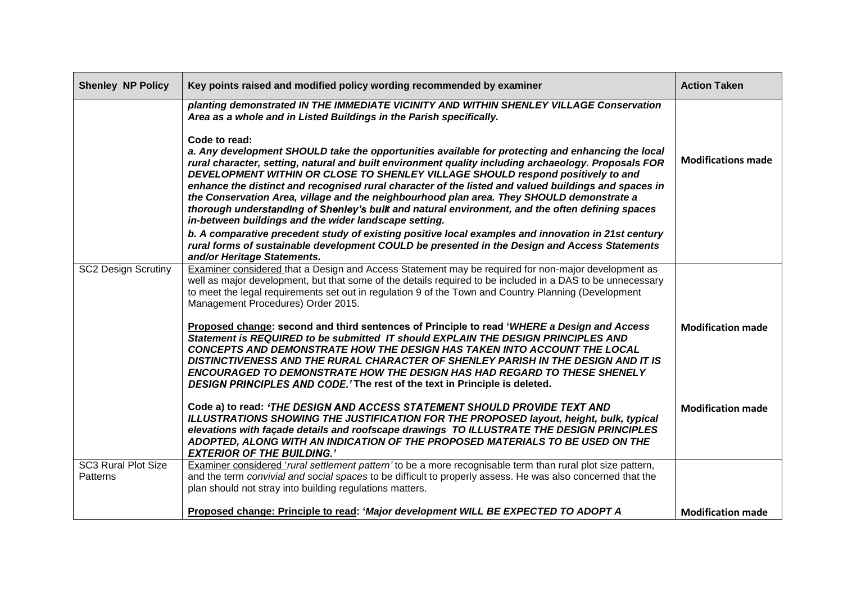| <b>Shenley NP Policy</b>               | Key points raised and modified policy wording recommended by examiner                                                                                                                                                                                                                                                                                                                                                                                                                                                                                                                                                                                                           | <b>Action Taken</b>       |
|----------------------------------------|---------------------------------------------------------------------------------------------------------------------------------------------------------------------------------------------------------------------------------------------------------------------------------------------------------------------------------------------------------------------------------------------------------------------------------------------------------------------------------------------------------------------------------------------------------------------------------------------------------------------------------------------------------------------------------|---------------------------|
|                                        | planting demonstrated IN THE IMMEDIATE VICINITY AND WITHIN SHENLEY VILLAGE Conservation<br>Area as a whole and in Listed Buildings in the Parish specifically.                                                                                                                                                                                                                                                                                                                                                                                                                                                                                                                  |                           |
|                                        | Code to read:<br>a. Any development SHOULD take the opportunities available for protecting and enhancing the local<br>rural character, setting, natural and built environment quality including archaeology. Proposals FOR<br>DEVELOPMENT WITHIN OR CLOSE TO SHENLEY VILLAGE SHOULD respond positively to and<br>enhance the distinct and recognised rural character of the listed and valued buildings and spaces in<br>the Conservation Area, village and the neighbourhood plan area. They SHOULD demonstrate a<br>thorough understanding of Shenley's built and natural environment, and the often defining spaces<br>in-between buildings and the wider landscape setting. | <b>Modifications made</b> |
|                                        | b. A comparative precedent study of existing positive local examples and innovation in 21st century<br>rural forms of sustainable development COULD be presented in the Design and Access Statements<br>and/or Heritage Statements.                                                                                                                                                                                                                                                                                                                                                                                                                                             |                           |
| <b>SC2 Design Scrutiny</b>             | Examiner considered that a Design and Access Statement may be required for non-major development as<br>well as major development, but that some of the details required to be included in a DAS to be unnecessary<br>to meet the legal requirements set out in regulation 9 of the Town and Country Planning (Development<br>Management Procedures) Order 2015.                                                                                                                                                                                                                                                                                                                 |                           |
|                                        | Proposed change: second and third sentences of Principle to read 'WHERE a Design and Access<br>Statement is REQUIRED to be submitted IT should EXPLAIN THE DESIGN PRINCIPLES AND<br><b>CONCEPTS AND DEMONSTRATE HOW THE DESIGN HAS TAKEN INTO ACCOUNT THE LOCAL</b><br>DISTINCTIVENESS AND THE RURAL CHARACTER OF SHENLEY PARISH IN THE DESIGN AND IT IS<br><b>ENCOURAGED TO DEMONSTRATE HOW THE DESIGN HAS HAD REGARD TO THESE SHENELY</b><br>DESIGN PRINCIPLES AND CODE.' The rest of the text in Principle is deleted.                                                                                                                                                       | <b>Modification made</b>  |
|                                        | Code a) to read: 'THE DESIGN AND ACCESS STATEMENT SHOULD PROVIDE TEXT AND<br>ILLUSTRATIONS SHOWING THE JUSTIFICATION FOR THE PROPOSED layout, height, bulk, typical<br>elevations with façade details and roofscape drawings TO ILLUSTRATE THE DESIGN PRINCIPLES<br>ADOPTED, ALONG WITH AN INDICATION OF THE PROPOSED MATERIALS TO BE USED ON THE<br><b>EXTERIOR OF THE BUILDING.'</b>                                                                                                                                                                                                                                                                                          | <b>Modification made</b>  |
| <b>SC3 Rural Plot Size</b><br>Patterns | Examiner considered 'rural settlement pattern' to be a more recognisable term than rural plot size pattern,<br>and the term convivial and social spaces to be difficult to properly assess. He was also concerned that the<br>plan should not stray into building regulations matters.                                                                                                                                                                                                                                                                                                                                                                                          |                           |
|                                        | Proposed change: Principle to read: 'Major development WILL BE EXPECTED TO ADOPT A                                                                                                                                                                                                                                                                                                                                                                                                                                                                                                                                                                                              | <b>Modification made</b>  |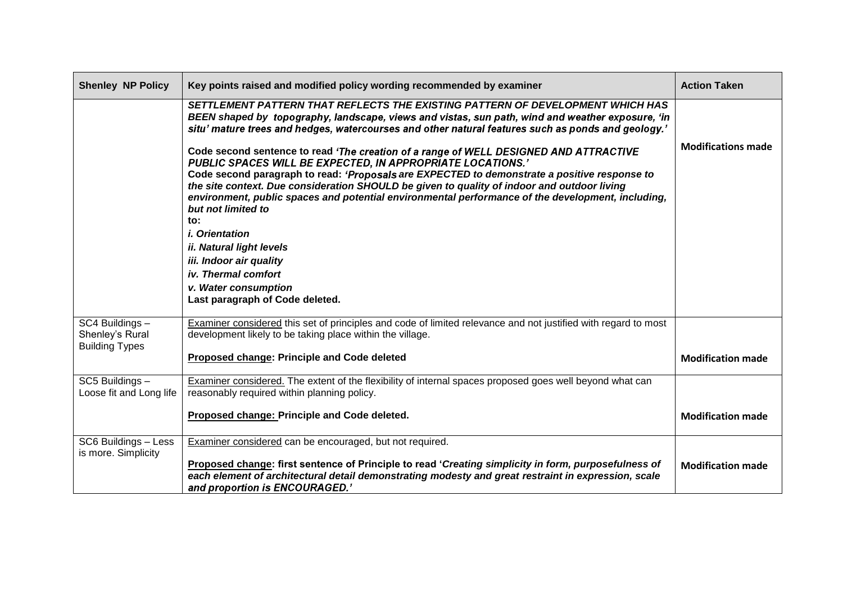| <b>Shenley NP Policy</b>                                    | Key points raised and modified policy wording recommended by examiner                                                                                                                                                                                                                                                                                                                                                                                                                                                                                                                                                                                                                                                                                                                                                                                                                                                                                     | <b>Action Taken</b>       |
|-------------------------------------------------------------|-----------------------------------------------------------------------------------------------------------------------------------------------------------------------------------------------------------------------------------------------------------------------------------------------------------------------------------------------------------------------------------------------------------------------------------------------------------------------------------------------------------------------------------------------------------------------------------------------------------------------------------------------------------------------------------------------------------------------------------------------------------------------------------------------------------------------------------------------------------------------------------------------------------------------------------------------------------|---------------------------|
|                                                             | SETTLEMENT PATTERN THAT REFLECTS THE EXISTING PATTERN OF DEVELOPMENT WHICH HAS<br>BEEN shaped by topography, landscape, views and vistas, sun path, wind and weather exposure, 'in<br>situ' mature trees and hedges, watercourses and other natural features such as ponds and geology.'<br>Code second sentence to read 'The creation of a range of WELL DESIGNED AND ATTRACTIVE<br>PUBLIC SPACES WILL BE EXPECTED, IN APPROPRIATE LOCATIONS.'<br>Code second paragraph to read: 'Proposals are EXPECTED to demonstrate a positive response to<br>the site context. Due consideration SHOULD be given to quality of indoor and outdoor living<br>environment, public spaces and potential environmental performance of the development, including,<br>but not limited to<br>to:<br><i>i.</i> Orientation<br><i>ii. Natural light levels</i><br>iii. Indoor air quality<br>iv. Thermal comfort<br>v. Water consumption<br>Last paragraph of Code deleted. | <b>Modifications made</b> |
| SC4 Buildings -<br>Shenley's Rural<br><b>Building Types</b> | Examiner considered this set of principles and code of limited relevance and not justified with regard to most<br>development likely to be taking place within the village.<br>Proposed change: Principle and Code deleted                                                                                                                                                                                                                                                                                                                                                                                                                                                                                                                                                                                                                                                                                                                                | <b>Modification made</b>  |
| SC5 Buildings -<br>Loose fit and Long life                  | Examiner considered. The extent of the flexibility of internal spaces proposed goes well beyond what can<br>reasonably required within planning policy.<br>Proposed change: Principle and Code deleted.                                                                                                                                                                                                                                                                                                                                                                                                                                                                                                                                                                                                                                                                                                                                                   | <b>Modification made</b>  |
| SC6 Buildings - Less<br>is more. Simplicity                 | Examiner considered can be encouraged, but not required.<br>Proposed change: first sentence of Principle to read 'Creating simplicity in form, purposefulness of<br>each element of architectural detail demonstrating modesty and great restraint in expression, scale<br>and proportion is ENCOURAGED.'                                                                                                                                                                                                                                                                                                                                                                                                                                                                                                                                                                                                                                                 | <b>Modification made</b>  |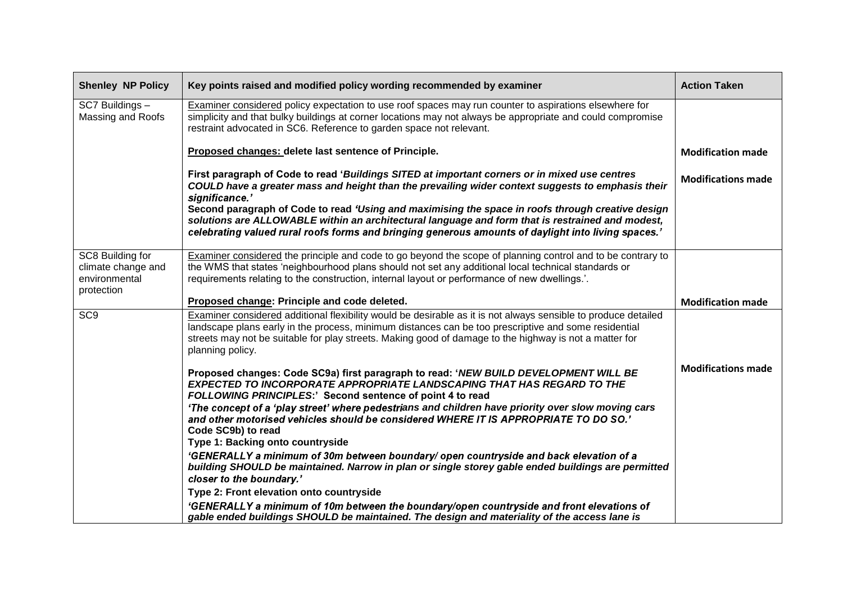| <b>Shenley NP Policy</b>                                              | Key points raised and modified policy wording recommended by examiner                                                                                                                                                                                                                                                                                                                                                         | <b>Action Taken</b>       |
|-----------------------------------------------------------------------|-------------------------------------------------------------------------------------------------------------------------------------------------------------------------------------------------------------------------------------------------------------------------------------------------------------------------------------------------------------------------------------------------------------------------------|---------------------------|
| SC7 Buildings -<br>Massing and Roofs                                  | Examiner considered policy expectation to use roof spaces may run counter to aspirations elsewhere for<br>simplicity and that bulky buildings at corner locations may not always be appropriate and could compromise<br>restraint advocated in SC6. Reference to garden space not relevant.                                                                                                                                   |                           |
|                                                                       | Proposed changes: delete last sentence of Principle.                                                                                                                                                                                                                                                                                                                                                                          | <b>Modification made</b>  |
|                                                                       | First paragraph of Code to read 'Buildings SITED at important corners or in mixed use centres<br>COULD have a greater mass and height than the prevailing wider context suggests to emphasis their<br>significance.'<br>Second paragraph of Code to read 'Using and maximising the space in roofs through creative design<br>solutions are ALLOWABLE within an architectural language and form that is restrained and modest, | <b>Modifications made</b> |
|                                                                       | celebrating valued rural roofs forms and bringing generous amounts of daylight into living spaces.'                                                                                                                                                                                                                                                                                                                           |                           |
| SC8 Building for<br>climate change and<br>environmental<br>protection | Examiner considered the principle and code to go beyond the scope of planning control and to be contrary to<br>the WMS that states 'neighbourhood plans should not set any additional local technical standards or<br>requirements relating to the construction, internal layout or performance of new dwellings.'.                                                                                                           |                           |
|                                                                       | Proposed change: Principle and code deleted.                                                                                                                                                                                                                                                                                                                                                                                  | <b>Modification made</b>  |
| SC <sub>9</sub>                                                       | Examiner considered additional flexibility would be desirable as it is not always sensible to produce detailed<br>landscape plans early in the process, minimum distances can be too prescriptive and some residential<br>streets may not be suitable for play streets. Making good of damage to the highway is not a matter for<br>planning policy.                                                                          |                           |
|                                                                       | Proposed changes: Code SC9a) first paragraph to read: 'NEW BUILD DEVELOPMENT WILL BE<br><b>EXPECTED TO INCORPORATE APPROPRIATE LANDSCAPING THAT HAS REGARD TO THE</b><br>FOLLOWING PRINCIPLES:' Second sentence of point 4 to read                                                                                                                                                                                            | <b>Modifications made</b> |
|                                                                       | 'The concept of a 'play street' where pedestrians and children have priority over slow moving cars<br>and other motorised vehicles should be considered WHERE IT IS APPROPRIATE TO DO SO.'<br>Code SC9b) to read                                                                                                                                                                                                              |                           |
|                                                                       | Type 1: Backing onto countryside<br>'GENERALLY a minimum of 30m between boundary/ open countryside and back elevation of a<br>building SHOULD be maintained. Narrow in plan or single storey gable ended buildings are permitted<br>closer to the boundary.'                                                                                                                                                                  |                           |
|                                                                       | Type 2: Front elevation onto countryside                                                                                                                                                                                                                                                                                                                                                                                      |                           |
|                                                                       | 'GENERALLY a minimum of 10m between the boundary/open countryside and front elevations of<br>gable ended buildings SHOULD be maintained. The design and materiality of the access lane is                                                                                                                                                                                                                                     |                           |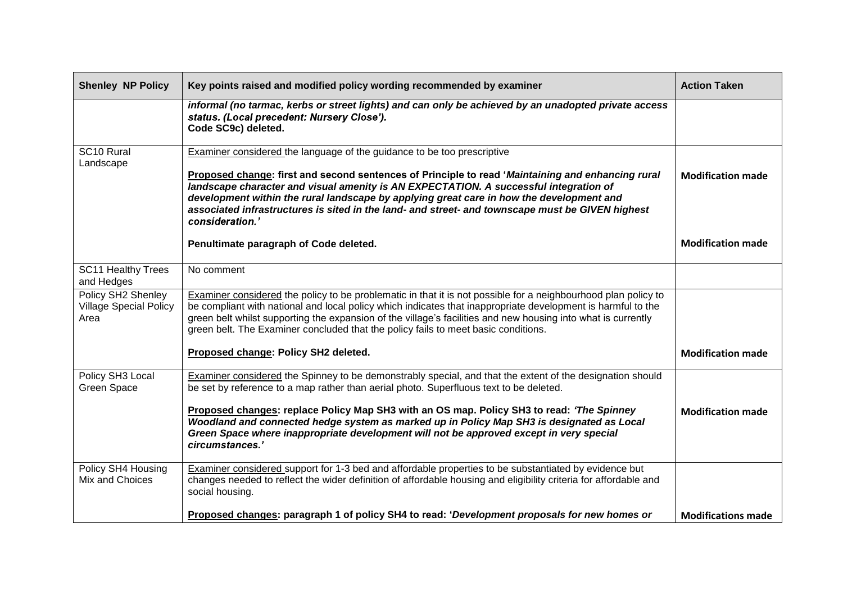| <b>Shenley NP Policy</b>                                    | Key points raised and modified policy wording recommended by examiner                                                                                                                                                                                                                                                                                                                                                                                                                           | <b>Action Taken</b>       |
|-------------------------------------------------------------|-------------------------------------------------------------------------------------------------------------------------------------------------------------------------------------------------------------------------------------------------------------------------------------------------------------------------------------------------------------------------------------------------------------------------------------------------------------------------------------------------|---------------------------|
|                                                             | informal (no tarmac, kerbs or street lights) and can only be achieved by an unadopted private access<br>status. (Local precedent: Nursery Close').<br>Code SC9c) deleted.                                                                                                                                                                                                                                                                                                                       |                           |
| SC10 Rural<br>Landscape                                     | <b>Examiner considered the language of the guidance to be too prescriptive</b><br>Proposed change: first and second sentences of Principle to read 'Maintaining and enhancing rural<br>landscape character and visual amenity is AN EXPECTATION. A successful integration of<br>development within the rural landscape by applying great care in how the development and<br>associated infrastructures is sited in the land- and street- and townscape must be GIVEN highest<br>consideration.' | <b>Modification made</b>  |
|                                                             | Penultimate paragraph of Code deleted.                                                                                                                                                                                                                                                                                                                                                                                                                                                          | <b>Modification made</b>  |
| <b>SC11 Healthy Trees</b><br>and Hedges                     | No comment                                                                                                                                                                                                                                                                                                                                                                                                                                                                                      |                           |
| Policy SH2 Shenley<br><b>Village Special Policy</b><br>Area | Examiner considered the policy to be problematic in that it is not possible for a neighbourhood plan policy to<br>be compliant with national and local policy which indicates that inappropriate development is harmful to the<br>green belt whilst supporting the expansion of the village's facilities and new housing into what is currently<br>green belt. The Examiner concluded that the policy fails to meet basic conditions.                                                           |                           |
|                                                             | Proposed change: Policy SH2 deleted.                                                                                                                                                                                                                                                                                                                                                                                                                                                            | <b>Modification made</b>  |
| Policy SH3 Local<br><b>Green Space</b>                      | Examiner considered the Spinney to be demonstrably special, and that the extent of the designation should<br>be set by reference to a map rather than aerial photo. Superfluous text to be deleted.                                                                                                                                                                                                                                                                                             |                           |
|                                                             | Proposed changes: replace Policy Map SH3 with an OS map. Policy SH3 to read: 'The Spinney<br>Woodland and connected hedge system as marked up in Policy Map SH3 is designated as Local<br>Green Space where inappropriate development will not be approved except in very special<br>circumstances.'                                                                                                                                                                                            | <b>Modification made</b>  |
| Policy SH4 Housing<br>Mix and Choices                       | Examiner considered support for 1-3 bed and affordable properties to be substantiated by evidence but<br>changes needed to reflect the wider definition of affordable housing and eligibility criteria for affordable and<br>social housing.                                                                                                                                                                                                                                                    |                           |
|                                                             | Proposed changes: paragraph 1 of policy SH4 to read: 'Development proposals for new homes or                                                                                                                                                                                                                                                                                                                                                                                                    | <b>Modifications made</b> |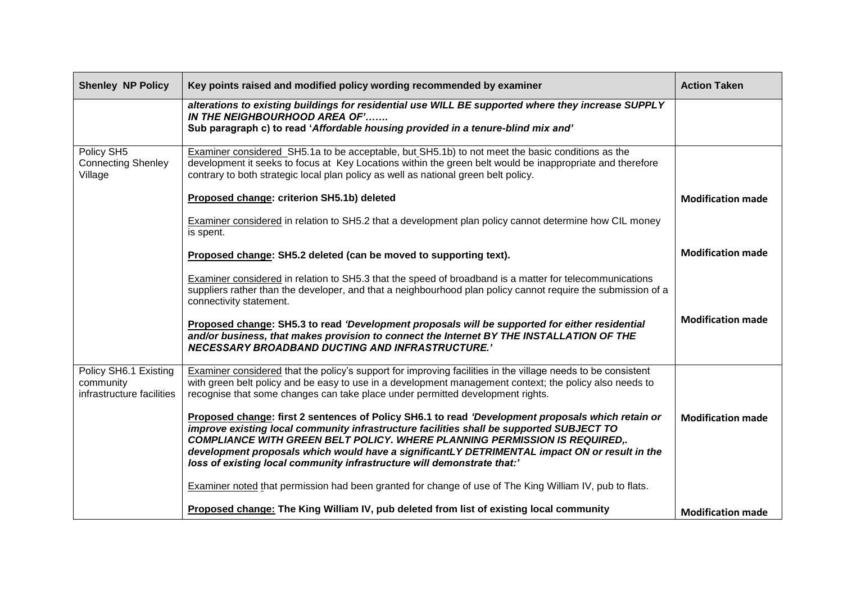| <b>Shenley NP Policy</b>                                        | Key points raised and modified policy wording recommended by examiner                                                                                                                                                                                                                                                                                                                                                                                          | <b>Action Taken</b>      |
|-----------------------------------------------------------------|----------------------------------------------------------------------------------------------------------------------------------------------------------------------------------------------------------------------------------------------------------------------------------------------------------------------------------------------------------------------------------------------------------------------------------------------------------------|--------------------------|
|                                                                 | alterations to existing buildings for residential use WILL BE supported where they increase SUPPLY<br>IN THE NEIGHBOURHOOD AREA OF'<br>Sub paragraph c) to read 'Affordable housing provided in a tenure-blind mix and'                                                                                                                                                                                                                                        |                          |
| Policy SH5<br><b>Connecting Shenley</b><br>Village              | Examiner considered SH5.1a to be acceptable, but SH5.1b) to not meet the basic conditions as the<br>development it seeks to focus at Key Locations within the green belt would be inappropriate and therefore<br>contrary to both strategic local plan policy as well as national green belt policy.                                                                                                                                                           |                          |
|                                                                 | Proposed change: criterion SH5.1b) deleted                                                                                                                                                                                                                                                                                                                                                                                                                     | <b>Modification made</b> |
|                                                                 | Examiner considered in relation to SH5.2 that a development plan policy cannot determine how CIL money<br>is spent.                                                                                                                                                                                                                                                                                                                                            |                          |
|                                                                 | Proposed change: SH5.2 deleted (can be moved to supporting text).                                                                                                                                                                                                                                                                                                                                                                                              | <b>Modification made</b> |
|                                                                 | Examiner considered in relation to SH5.3 that the speed of broadband is a matter for telecommunications<br>suppliers rather than the developer, and that a neighbourhood plan policy cannot require the submission of a<br>connectivity statement.                                                                                                                                                                                                             |                          |
|                                                                 | Proposed change: SH5.3 to read 'Development proposals will be supported for either residential<br>and/or business, that makes provision to connect the Internet BY THE INSTALLATION OF THE<br><b>NECESSARY BROADBAND DUCTING AND INFRASTRUCTURE.'</b>                                                                                                                                                                                                          | <b>Modification made</b> |
| Policy SH6.1 Existing<br>community<br>infrastructure facilities | Examiner considered that the policy's support for improving facilities in the village needs to be consistent<br>with green belt policy and be easy to use in a development management context; the policy also needs to<br>recognise that some changes can take place under permitted development rights.                                                                                                                                                      |                          |
|                                                                 | Proposed change: first 2 sentences of Policy SH6.1 to read 'Development proposals which retain or<br>improve existing local community infrastructure facilities shall be supported SUBJECT TO<br><b>COMPLIANCE WITH GREEN BELT POLICY. WHERE PLANNING PERMISSION IS REQUIRED,.</b><br>development proposals which would have a significantLY DETRIMENTAL impact ON or result in the<br>loss of existing local community infrastructure will demonstrate that:' | <b>Modification made</b> |
|                                                                 | Examiner noted that permission had been granted for change of use of The King William IV, pub to flats.                                                                                                                                                                                                                                                                                                                                                        |                          |
|                                                                 | Proposed change: The King William IV, pub deleted from list of existing local community                                                                                                                                                                                                                                                                                                                                                                        | <b>Modification made</b> |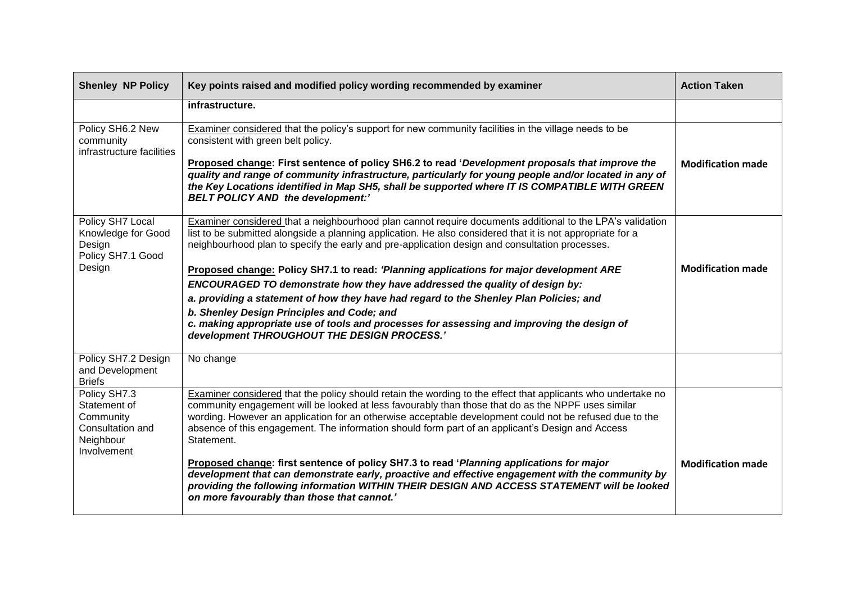| <b>Shenley NP Policy</b>                                                                  | Key points raised and modified policy wording recommended by examiner                                                                                                                                                                                                                                                                                                                                                                           | <b>Action Taken</b>      |
|-------------------------------------------------------------------------------------------|-------------------------------------------------------------------------------------------------------------------------------------------------------------------------------------------------------------------------------------------------------------------------------------------------------------------------------------------------------------------------------------------------------------------------------------------------|--------------------------|
|                                                                                           | infrastructure.                                                                                                                                                                                                                                                                                                                                                                                                                                 |                          |
| Policy SH6.2 New<br>community<br>infrastructure facilities                                | Examiner considered that the policy's support for new community facilities in the village needs to be<br>consistent with green belt policy.<br>Proposed change: First sentence of policy SH6.2 to read 'Development proposals that improve the                                                                                                                                                                                                  | <b>Modification made</b> |
|                                                                                           | quality and range of community infrastructure, particularly for young people and/or located in any of<br>the Key Locations identified in Map SH5, shall be supported where IT IS COMPATIBLE WITH GREEN<br><b>BELT POLICY AND the development:'</b>                                                                                                                                                                                              |                          |
| Policy SH7 Local<br>Knowledge for Good<br>Design<br>Policy SH7.1 Good                     | Examiner considered that a neighbourhood plan cannot require documents additional to the LPA's validation<br>list to be submitted alongside a planning application. He also considered that it is not appropriate for a<br>neighbourhood plan to specify the early and pre-application design and consultation processes.                                                                                                                       |                          |
| Design                                                                                    | Proposed change: Policy SH7.1 to read: 'Planning applications for major development ARE                                                                                                                                                                                                                                                                                                                                                         | <b>Modification made</b> |
|                                                                                           | ENCOURAGED TO demonstrate how they have addressed the quality of design by:<br>a. providing a statement of how they have had regard to the Shenley Plan Policies; and                                                                                                                                                                                                                                                                           |                          |
|                                                                                           | b. Shenley Design Principles and Code; and                                                                                                                                                                                                                                                                                                                                                                                                      |                          |
|                                                                                           | c. making appropriate use of tools and processes for assessing and improving the design of<br>development THROUGHOUT THE DESIGN PROCESS.'                                                                                                                                                                                                                                                                                                       |                          |
| Policy SH7.2 Design<br>and Development<br><b>Briefs</b>                                   | No change                                                                                                                                                                                                                                                                                                                                                                                                                                       |                          |
| Policy SH7.3<br>Statement of<br>Community<br>Consultation and<br>Neighbour<br>Involvement | Examiner considered that the policy should retain the wording to the effect that applicants who undertake no<br>community engagement will be looked at less favourably than those that do as the NPPF uses similar<br>wording. However an application for an otherwise acceptable development could not be refused due to the<br>absence of this engagement. The information should form part of an applicant's Design and Access<br>Statement. |                          |
|                                                                                           | Proposed change: first sentence of policy SH7.3 to read 'Planning applications for major<br>development that can demonstrate early, proactive and effective engagement with the community by<br>providing the following information WITHIN THEIR DESIGN AND ACCESS STATEMENT will be looked<br>on more favourably than those that cannot.'                                                                                                      | <b>Modification made</b> |